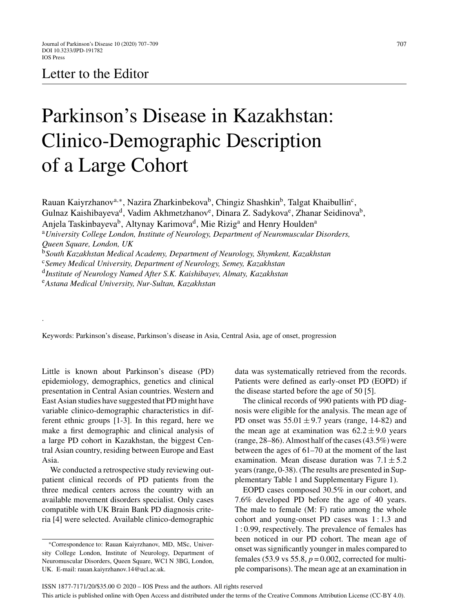# Letter to the Editor

.

# Parkinson's Disease in Kazakhstan: Clinico-Demographic Description of a Large Cohort

Rauan Kaiyrzhanov<sup>a,∗</sup>, Nazira Zharkinbekova<sup>b</sup>, Chingiz Shashkin<sup>b</sup>, Talgat Khaibullin<sup>c</sup>, Gulnaz Kaishibayeva<sup>d</sup>, Vadim Akhmetzhanov<sup>e</sup>, Dinara Z. Sadykova<sup>e</sup>, Zhanar Seidinova<sup>b</sup>, Anjela Taskinbayeva<sup>b</sup>, Altynay Karimova<sup>d</sup>, Mie Rizig<sup>a</sup> and Henry Houlden<sup>a</sup> <sup>a</sup>*University College London, Institute of Neurology, Department of Neuromuscular Disorders, Queen Square, London, UK* <sup>b</sup>*South Kazakhstan Medical Academy, Department of Neurology, Shymkent, Kazakhstan* <sup>c</sup>*Semey Medical University, Department of Neurology, Semey, Kazakhstan* <sup>d</sup>*Institute of Neurology Named After S.K. Kaishibayev, Almaty, Kazakhstan* <sup>e</sup>*Astana Medical University, Nur-Sultan, Kazakhstan*

Keywords: Parkinson's disease, Parkinson's disease in Asia, Central Asia, age of onset, progression

Little is known about Parkinson's disease (PD) epidemiology, demographics, genetics and clinical presentation in Central Asian countries. Western and East Asian studies have suggested that PD might have variable clinico-demographic characteristics in different ethnic groups [1-3]. In this regard, here we make a first demographic and clinical analysis of a large PD cohort in Kazakhstan, the biggest Central Asian country, residing between Europe and East Asia.

We conducted a retrospective study reviewing outpatient clinical records of PD patients from the three medical centers across the country with an available movement disorders specialist. Only cases compatible with UK Brain Bank PD diagnosis criteria [4] were selected. Available clinico-demographic

data was systematically retrieved from the records. Patients were defined as early-onset PD (EOPD) if the disease started before the age of 50 [5].

The clinical records of 990 patients with PD diagnosis were eligible for the analysis. The mean age of PD onset was  $55.01 \pm 9.7$  years (range, 14-82) and the mean age at examination was  $62.2 \pm 9.0$  years (range, 28–86). Almost half of the cases (43.5%) were between the ages of 61–70 at the moment of the last examination. Mean disease duration was  $7.1 \pm 5.2$ years (range, 0-38). (The results are presented in Supplementary Table 1 and Supplementary Figure 1).

EOPD cases composed 30.5% in our cohort, and 7.6% developed PD before the age of 40 years. The male to female (M: F) ratio among the whole cohort and young-onset PD cases was 1 : 1.3 and 1 : 0.99, respectively. The prevalence of females has been noticed in our PD cohort. The mean age of onset was significantly younger in males compared to females (53.9 vs 55.8,  $p = 0.002$ , corrected for multiple comparisons). The mean age at an examination in

ISSN 1877-7171/20/\$35.00 © 2020 – IOS Press and the authors. All rights reserved This article is published online with Open Access and distributed under the terms of the Creative Commons Attribution License (CC-BY 4.0).

<sup>∗</sup>Correspondence to: Rauan Kaiyrzhanov, MD, MSc, University College London, Institute of Neurology, Department of Neuromuscular Disorders, Queen Square, WC1 N 3BG, London, UK. E-mail: [rauan.kaiyrzhanov.14@ucl.ac.uk.](mailto:rauan.kaiyrzhanov.14@ucl.ac.uk)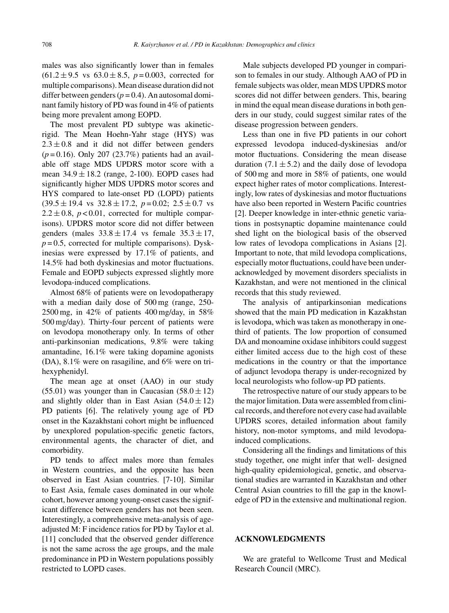males was also significantly lower than in females  $(61.2 \pm 9.5 \text{ vs } 63.0 \pm 8.5, p=0.003, \text{ corrected for})$ multiple comparisons). Mean disease duration did not differ between genders  $(p = 0.4)$ . An autosomal dominant family history of PD was found in 4% of patients being more prevalent among EOPD.

The most prevalent PD subtype was akineticrigid. The Mean Hoehn-Yahr stage (HYS) was  $2.3 \pm 0.8$  and it did not differ between genders (*p* = 0.16). Only 207 (23.7%) patients had an available off stage MDS UPDRS motor score with a mean  $34.9 \pm 18.2$  (range, 2-100). EOPD cases had significantly higher MDS UPDRS motor scores and HYS compared to late-onset PD (LOPD) patients  $(39.5 \pm 19.4 \text{ vs } 32.8 \pm 17.2, p=0.02; 2.5 \pm 0.7 \text{ vs }$  $2.2 \pm 0.8$ ,  $p < 0.01$ , corrected for multiple comparisons). UPDRS motor score did not differ between genders (males  $33.8 \pm 17.4$  vs female  $35.3 \pm 17$ ,  $p = 0.5$ , corrected for multiple comparisons). Dyskinesias were expressed by 17.1% of patients, and 14.5% had both dyskinesias and motor fluctuations. Female and EOPD subjects expressed slightly more levodopa-induced complications.

Almost 68% of patients were on levodopatherapy with a median daily dose of 500 mg (range, 250- 2500 mg, in 42% of patients 400 mg/day, in 58% 500 mg/day). Thirty-four percent of patients were on levodopa monotherapy only. In terms of other anti-parkinsonian medications, 9.8% were taking amantadine, 16.1% were taking dopamine agonists (DA), 8.1% were on rasagiline, and 6% were on trihexyphenidyl.

The mean age at onset (AAO) in our study (55.01) was younger than in Caucasian  $(58.0 \pm 12)$ and slightly older than in East Asian  $(54.0 \pm 12)$ PD patients [6]. The relatively young age of PD onset in the Kazakhstani cohort might be influenced by unexplored population-specific genetic factors, environmental agents, the character of diet, and comorbidity.

PD tends to affect males more than females in Western countries, and the opposite has been observed in East Asian countries. [7-10]. Similar to East Asia, female cases dominated in our whole cohort, however among young-onset cases the significant difference between genders has not been seen. Interestingly, a comprehensive meta-analysis of ageadjusted M: F incidence ratios for PD by Taylor et al. [11] concluded that the observed gender difference is not the same across the age groups, and the male predominance in PD in Western populations possibly restricted to LOPD cases.

Male subjects developed PD younger in comparison to females in our study. Although AAO of PD in female subjects was older, mean MDS UPDRS motor scores did not differ between genders. This, bearing in mind the equal mean disease durations in both genders in our study, could suggest similar rates of the disease progression between genders.

Less than one in five PD patients in our cohort expressed levodopa induced-dyskinesias and/or motor fluctuations. Considering the mean disease duration  $(7.1 \pm 5.2)$  and the daily dose of levodopa of 500 mg and more in 58% of patients, one would expect higher rates of motor complications. Interestingly, low rates of dyskinesias and motor fluctuations have also been reported in Western Pacific countries [2]. Deeper knowledge in inter-ethnic genetic variations in postsynaptic dopamine maintenance could shed light on the biological basis of the observed low rates of levodopa complications in Asians [2]. Important to note, that mild levodopa complications, especially motor fluctuations, could have been underacknowledged by movement disorders specialists in Kazakhstan, and were not mentioned in the clinical records that this study reviewed.

The analysis of antiparkinsonian medications showed that the main PD medication in Kazakhstan is levodopa, which was taken as monotherapy in onethird of patients. The low proportion of consumed DA and monoamine oxidase inhibitors could suggest either limited access due to the high cost of these medications in the country or that the importance of adjunct levodopa therapy is under-recognized by local neurologists who follow-up PD patients.

The retrospective nature of our study appears to be the major limitation. Data were assembled from clinical records, and therefore not every case had available UPDRS scores, detailed information about family history, non-motor symptoms, and mild levodopainduced complications.

Considering all the findings and limitations of this study together, one might infer that well- designed high-quality epidemiological, genetic, and observational studies are warranted in Kazakhstan and other Central Asian countries to fill the gap in the knowledge of PD in the extensive and multinational region.

#### **ACKNOWLEDGMENTS**

We are grateful to Wellcome Trust and Medical Research Council (MRC).